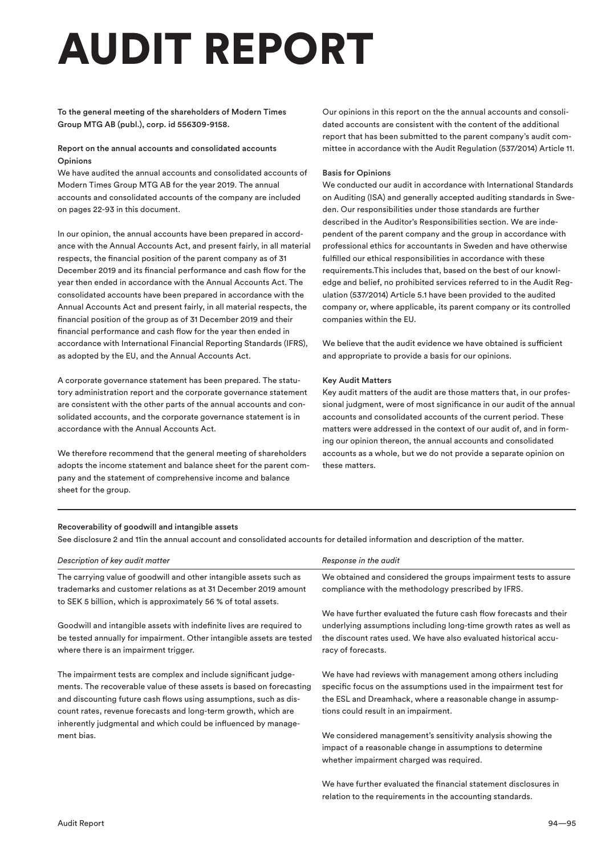# AUDIT REPORT

# To the general meeting of the shareholders of Modern Times Group MTG AB (publ.), corp. id 556309-9158.

#### Report on the annual accounts and consolidated accounts Opinions

We have audited the annual accounts and consolidated accounts of Modern Times Group MTG AB for the year 2019. The annual accounts and consolidated accounts of the company are included on pages 22-93 in this document.

In our opinion, the annual accounts have been prepared in accordance with the Annual Accounts Act, and present fairly, in all material respects, the financial position of the parent company as of 31 December 2019 and its financial performance and cash flow for the year then ended in accordance with the Annual Accounts Act. The consolidated accounts have been prepared in accordance with the Annual Accounts Act and present fairly, in all material respects, the financial position of the group as of 31 December 2019 and their financial performance and cash flow for the year then ended in accordance with International Financial Reporting Standards (IFRS), as adopted by the EU, and the Annual Accounts Act.

A corporate governance statement has been prepared. The statutory administration report and the corporate governance statement are consistent with the other parts of the annual accounts and consolidated accounts, and the corporate governance statement is in accordance with the Annual Accounts Act.

We therefore recommend that the general meeting of shareholders adopts the income statement and balance sheet for the parent company and the statement of comprehensive income and balance sheet for the group.

Our opinions in this report on the the annual accounts and consolidated accounts are consistent with the content of the additional report that has been submitted to the parent company's audit committee in accordance with the Audit Regulation (537/2014) Article 11.

#### Basis for Opinions

We conducted our audit in accordance with International Standards on Auditing (ISA) and generally accepted auditing standards in Sweden. Our responsibilities under those standards are further described in the Auditor's Responsibilities section. We are independent of the parent company and the group in accordance with professional ethics for accountants in Sweden and have otherwise fulfilled our ethical responsibilities in accordance with these requirements.This includes that, based on the best of our knowledge and belief, no prohibited services referred to in the Audit Regulation (537/2014) Article 5.1 have been provided to the audited company or, where applicable, its parent company or its controlled companies within the EU.

We believe that the audit evidence we have obtained is sufficient and appropriate to provide a basis for our opinions.

#### Key Audit Matters

Key audit matters of the audit are those matters that, in our professional judgment, were of most significance in our audit of the annual accounts and consolidated accounts of the current period. These matters were addressed in the context of our audit of, and in forming our opinion thereon, the annual accounts and consolidated accounts as a whole, but we do not provide a separate opinion on these matters.

relation to the requirements in the accounting standards.

# Recoverability of goodwill and intangible assets

See disclosure 2 and 11in the annual account and consolidated accounts for detailed information and description of the matter.

| Description of key audit matter                                                                                                                                                                                                                                                                                                                  | Response in the audit                                                                                                                                                                                                                  |
|--------------------------------------------------------------------------------------------------------------------------------------------------------------------------------------------------------------------------------------------------------------------------------------------------------------------------------------------------|----------------------------------------------------------------------------------------------------------------------------------------------------------------------------------------------------------------------------------------|
| The carrying value of goodwill and other intangible assets such as<br>trademarks and customer relations as at 31 December 2019 amount<br>to SEK 5 billion, which is approximately 56 % of total assets.                                                                                                                                          | We obtained and considered the groups impairment tests to assure<br>compliance with the methodology prescribed by IFRS.                                                                                                                |
| Goodwill and intangible assets with indefinite lives are required to<br>be tested annually for impairment. Other intangible assets are tested<br>where there is an impairment trigger.                                                                                                                                                           | We have further evaluated the future cash flow forecasts and their<br>underlying assumptions including long-time growth rates as well as<br>the discount rates used. We have also evaluated historical accu-<br>racy of forecasts.     |
| The impairment tests are complex and include significant judge-<br>ments. The recoverable value of these assets is based on forecasting<br>and discounting future cash flows using assumptions, such as dis-<br>count rates, revenue forecasts and long-term growth, which are<br>inherently judgmental and which could be influenced by manage- | We have had reviews with management among others including<br>specific focus on the assumptions used in the impairment test for<br>the ESL and Dreamhack, where a reasonable change in assump-<br>tions could result in an impairment. |
| ment bias.                                                                                                                                                                                                                                                                                                                                       | We considered management's sensitivity analysis showing the<br>impact of a reasonable change in assumptions to determine<br>whether impairment charged was required.                                                                   |
|                                                                                                                                                                                                                                                                                                                                                  | We have further evaluated the financial statement disclosures in                                                                                                                                                                       |

Audit Report 94—95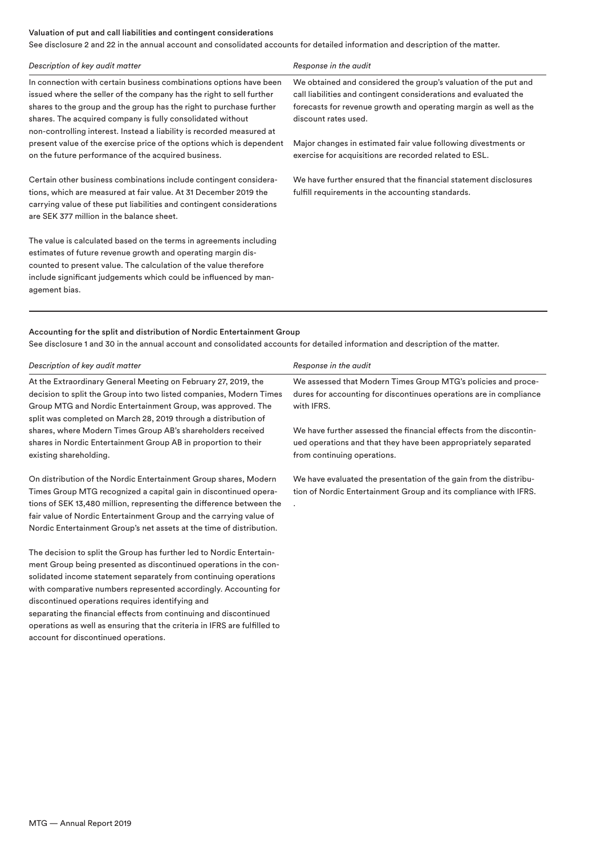#### Valuation of put and call liabilities and contingent considerations

See disclosure 2 and 22 in the annual account and consolidated accounts for detailed information and description of the matter.

| Description of key audit matter                                                                                                                                                                                                                                                                                                                          | Response in the audit                                                                                                                                                                                                           |
|----------------------------------------------------------------------------------------------------------------------------------------------------------------------------------------------------------------------------------------------------------------------------------------------------------------------------------------------------------|---------------------------------------------------------------------------------------------------------------------------------------------------------------------------------------------------------------------------------|
| In connection with certain business combinations options have been<br>issued where the seller of the company has the right to sell further<br>shares to the group and the group has the right to purchase further<br>shares. The acquired company is fully consolidated without<br>non-controlling interest. Instead a liability is recorded measured at | We obtained and considered the group's valuation of the put and<br>call liabilities and contingent considerations and evaluated the<br>forecasts for revenue growth and operating margin as well as the<br>discount rates used. |
| present value of the exercise price of the options which is dependent<br>on the future performance of the acquired business.                                                                                                                                                                                                                             | Major changes in estimated fair value following divestments or<br>exercise for acquisitions are recorded related to ESL.                                                                                                        |
| Certain other business combinations include contingent considera-<br>tions, which are measured at fair value. At 31 December 2019 the<br>carrying value of these put liabilities and contingent considerations<br>are SEK 377 million in the balance sheet.                                                                                              | We have further ensured that the financial statement disclosures<br>fulfill requirements in the accounting standards.                                                                                                           |
| The value is calculated based on the terms in agreements including<br>estimates of future revenue growth and operating margin dis-<br>counted to present value. The calculation of the value therefore<br>include significant judgements which could be influenced by man-<br>agement bias.                                                              |                                                                                                                                                                                                                                 |
|                                                                                                                                                                                                                                                                                                                                                          |                                                                                                                                                                                                                                 |

# Accounting for the split and distribution of Nordic Entertainment Group

The decision to split the Group has further led to Nordic Entertainment Group being presented as discontinued operations in the consolidated income statement separately from continuing operations with comparative numbers represented accordingly. Accounting for

separating the financial effects from continuing and discontinued operations as well as ensuring that the criteria in IFRS are fulfilled to

discontinued operations requires identifying and

account for discontinued operations.

See disclosure 1 and 30 in the annual account and consolidated accounts for detailed information and description of the matter.

| Description of key audit matter                                      | Response in the audit                                              |
|----------------------------------------------------------------------|--------------------------------------------------------------------|
| At the Extraordinary General Meeting on February 27, 2019, the       | We assessed that Modern Times Group MTG's policies and proce-      |
| decision to split the Group into two listed companies, Modern Times  | dures for accounting for discontinues operations are in compliance |
| Group MTG and Nordic Entertainment Group, was approved. The          | with IFRS.                                                         |
| split was completed on March 28, 2019 through a distribution of      |                                                                    |
| shares, where Modern Times Group AB's shareholders received          | We have further assessed the financial effects from the discontin- |
| shares in Nordic Entertainment Group AB in proportion to their       | ued operations and that they have been appropriately separated     |
| existing shareholding.                                               | from continuing operations.                                        |
| On distribution of the Nordic Entertainment Group shares, Modern     | We have evaluated the presentation of the gain from the distribu-  |
| Times Group MTG recognized a capital gain in discontinued opera-     | tion of Nordic Entertainment Group and its compliance with IFRS.   |
| tions of SEK 13,480 million, representing the difference between the |                                                                    |
| fair value of Nordic Entertainment Group and the carrying value of   |                                                                    |
| Nordic Entertainment Group's net assets at the time of distribution. |                                                                    |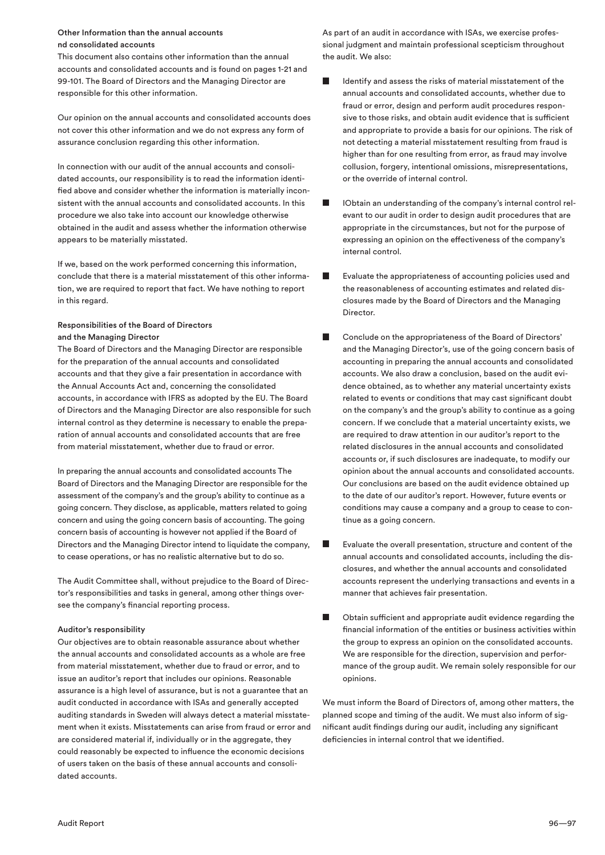#### Other Information than the annual accounts nd consolidated accounts

This document also contains other information than the annual accounts and consolidated accounts and is found on pages 1-21 and 99-101. The Board of Directors and the Managing Director are responsible for this other information.

Our opinion on the annual accounts and consolidated accounts does not cover this other information and we do not express any form of assurance conclusion regarding this other information.

In connection with our audit of the annual accounts and consolidated accounts, our responsibility is to read the information identified above and consider whether the information is materially inconsistent with the annual accounts and consolidated accounts. In this procedure we also take into account our knowledge otherwise obtained in the audit and assess whether the information otherwise appears to be materially misstated.

If we, based on the work performed concerning this information, conclude that there is a material misstatement of this other information, we are required to report that fact. We have nothing to report in this regard.

# Responsibilities of the Board of Directors and the Managing Director

The Board of Directors and the Managing Director are responsible for the preparation of the annual accounts and consolidated accounts and that they give a fair presentation in accordance with the Annual Accounts Act and, concerning the consolidated accounts, in accordance with IFRS as adopted by the EU. The Board of Directors and the Managing Director are also responsible for such internal control as they determine is necessary to enable the preparation of annual accounts and consolidated accounts that are free from material misstatement, whether due to fraud or error.

In preparing the annual accounts and consolidated accounts The Board of Directors and the Managing Director are responsible for the assessment of the company's and the group's ability to continue as a going concern. They disclose, as applicable, matters related to going concern and using the going concern basis of accounting. The going concern basis of accounting is however not applied if the Board of Directors and the Managing Director intend to liquidate the company, to cease operations, or has no realistic alternative but to do so.

The Audit Committee shall, without prejudice to the Board of Director's responsibilities and tasks in general, among other things oversee the company's financial reporting process.

#### Auditor's responsibility

Our objectives are to obtain reasonable assurance about whether the annual accounts and consolidated accounts as a whole are free from material misstatement, whether due to fraud or error, and to issue an auditor's report that includes our opinions. Reasonable assurance is a high level of assurance, but is not a guarantee that an audit conducted in accordance with ISAs and generally accepted auditing standards in Sweden will always detect a material misstatement when it exists. Misstatements can arise from fraud or error and are considered material if, individually or in the aggregate, they could reasonably be expected to influence the economic decisions of users taken on the basis of these annual accounts and consolidated accounts.

As part of an audit in accordance with ISAs, we exercise professional judgment and maintain professional scepticism throughout the audit. We also:

- Identify and assess the risks of material misstatement of the T. annual accounts and consolidated accounts, whether due to fraud or error, design and perform audit procedures responsive to those risks, and obtain audit evidence that is sufficient and appropriate to provide a basis for our opinions. The risk of not detecting a material misstatement resulting from fraud is higher than for one resulting from error, as fraud may involve collusion, forgery, intentional omissions, misrepresentations, or the override of internal control.
- **IObtain an understanding of the company's internal control rel**evant to our audit in order to design audit procedures that are appropriate in the circumstances, but not for the purpose of expressing an opinion on the effectiveness of the company's internal control.
- Evaluate the appropriateness of accounting policies used and the reasonableness of accounting estimates and related disclosures made by the Board of Directors and the Managing Director.
- Conclude on the appropriateness of the Board of Directors' and the Managing Director's, use of the going concern basis of accounting in preparing the annual accounts and consolidated accounts. We also draw a conclusion, based on the audit evidence obtained, as to whether any material uncertainty exists related to events or conditions that may cast significant doubt on the company's and the group's ability to continue as a going concern. If we conclude that a material uncertainty exists, we are required to draw attention in our auditor's report to the related disclosures in the annual accounts and consolidated accounts or, if such disclosures are inadequate, to modify our opinion about the annual accounts and consolidated accounts. Our conclusions are based on the audit evidence obtained up to the date of our auditor's report. However, future events or conditions may cause a company and a group to cease to continue as a going concern.
- Evaluate the overall presentation, structure and content of the annual accounts and consolidated accounts, including the disclosures, and whether the annual accounts and consolidated accounts represent the underlying transactions and events in a manner that achieves fair presentation.
- Obtain sufficient and appropriate audit evidence regarding the financial information of the entities or business activities within the group to express an opinion on the consolidated accounts. We are responsible for the direction, supervision and performance of the group audit. We remain solely responsible for our opinions.

We must inform the Board of Directors of, among other matters, the planned scope and timing of the audit. We must also inform of significant audit findings during our audit, including any significant deficiencies in internal control that we identified.